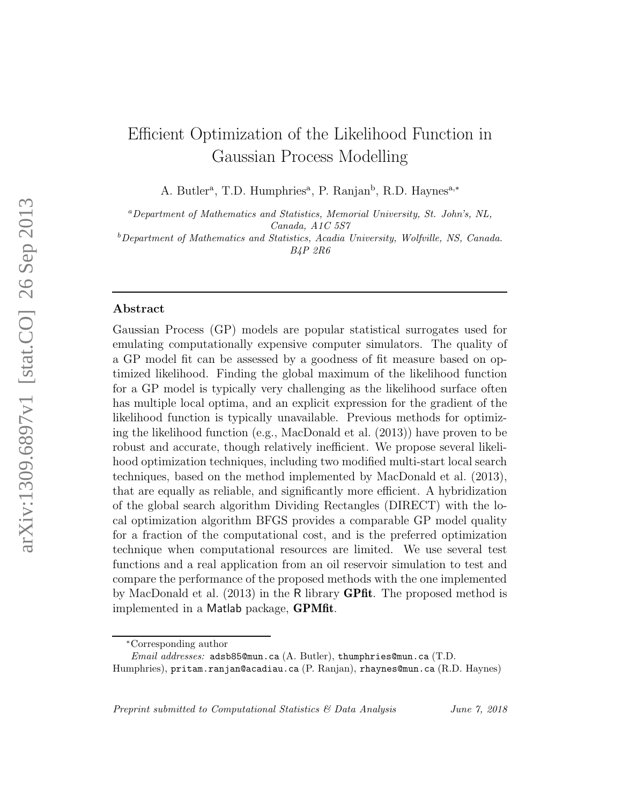# Efficient Optimization of the Likelihood Function in Gaussian Process Modelling

A. Butler<sup>a</sup>, T.D. Humphries<sup>a</sup>, P. Ranjan<sup>b</sup>, R.D. Haynes<sup>a,\*</sup>

<sup>a</sup>Department of Mathematics and Statistics, Memorial University, St. John's, NL, Canada, A1C 5S7

 $b$ Department of Mathematics and Statistics, Acadia University, Wolfville, NS, Canada. B4P 2R6

# Abstract

Gaussian Process (GP) models are popular statistical surrogates used for emulating computationally expensive computer simulators. The quality of a GP model fit can be assessed by a goodness of fit measure based on optimized likelihood. Finding the global maximum of the likelihood function for a GP model is typically very challenging as the likelihood surface often has multiple local optima, and an explicit expression for the gradient of the likelihood function is typically unavailable. Previous methods for optimizing the likelihood function (e.g., MacDonald et al. (2013)) have proven to be robust and accurate, though relatively inefficient. We propose several likelihood optimization techniques, including two modified multi-start local search techniques, based on the method implemented by MacDonald et al. (2013), that are equally as reliable, and significantly more efficient. A hybridization of the global search algorithm Dividing Rectangles (DIRECT) with the local optimization algorithm BFGS provides a comparable GP model quality for a fraction of the computational cost, and is the preferred optimization technique when computational resources are limited. We use several test functions and a real application from an oil reservoir simulation to test and compare the performance of the proposed methods with the one implemented by MacDonald et al. (2013) in the R library GPfit. The proposed method is implemented in a Matlab package, GPMfit.

Preprint submitted to Computational Statistics & Data Analysis June 7, 2018

<sup>∗</sup>Corresponding author

 $Email \; addresses: \; \texttt{adsb85@mun.ca}$  (A. Butler), thumphries@mun.ca (T.D.

Humphries), pritam.ranjan@acadiau.ca (P. Ranjan), rhaynes@mun.ca (R.D. Haynes)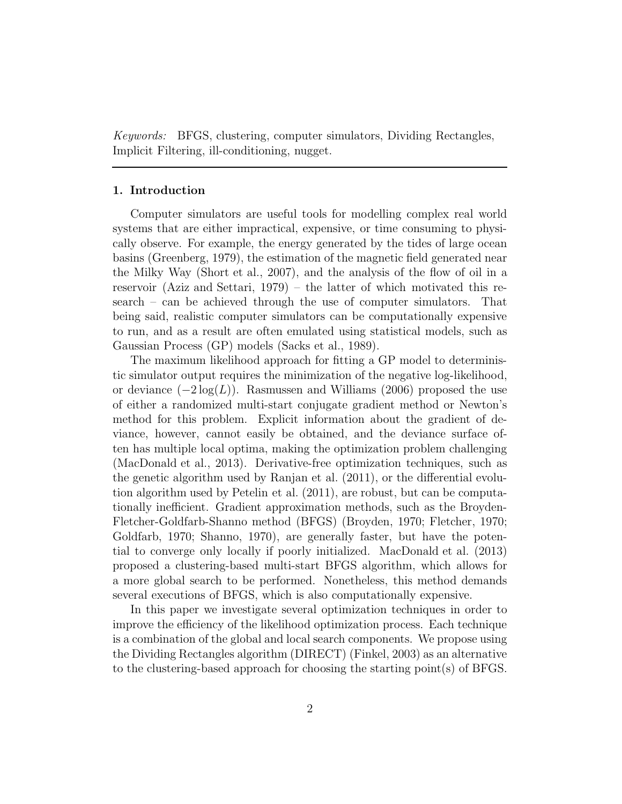Keywords: BFGS, clustering, computer simulators, Dividing Rectangles, Implicit Filtering, ill-conditioning, nugget.

# 1. Introduction

Computer simulators are useful tools for modelling complex real world systems that are either impractical, expensive, or time consuming to physically observe. For example, the energy generated by the tides of large ocean basins (Greenberg, 1979), the estimation of the magnetic field generated near the Milky Way (Short et al., 2007), and the analysis of the flow of oil in a reservoir (Aziz and Settari, 1979) – the latter of which motivated this research – can be achieved through the use of computer simulators. That being said, realistic computer simulators can be computationally expensive to run, and as a result are often emulated using statistical models, such as Gaussian Process (GP) models (Sacks et al., 1989).

The maximum likelihood approach for fitting a GP model to deterministic simulator output requires the minimization of the negative log-likelihood, or deviance  $(-2\log(L))$ . Rasmussen and Williams (2006) proposed the use of either a randomized multi-start conjugate gradient method or Newton's method for this problem. Explicit information about the gradient of deviance, however, cannot easily be obtained, and the deviance surface often has multiple local optima, making the optimization problem challenging (MacDonald et al., 2013). Derivative-free optimization techniques, such as the genetic algorithm used by Ranjan et al. (2011), or the differential evolution algorithm used by Petelin et al. (2011), are robust, but can be computationally inefficient. Gradient approximation methods, such as the Broyden-Fletcher-Goldfarb-Shanno method (BFGS) (Broyden, 1970; Fletcher, 1970; Goldfarb, 1970; Shanno, 1970), are generally faster, but have the potential to converge only locally if poorly initialized. MacDonald et al. (2013) proposed a clustering-based multi-start BFGS algorithm, which allows for a more global search to be performed. Nonetheless, this method demands several executions of BFGS, which is also computationally expensive.

In this paper we investigate several optimization techniques in order to improve the efficiency of the likelihood optimization process. Each technique is a combination of the global and local search components. We propose using the Dividing Rectangles algorithm (DIRECT) (Finkel, 2003) as an alternative to the clustering-based approach for choosing the starting point(s) of BFGS.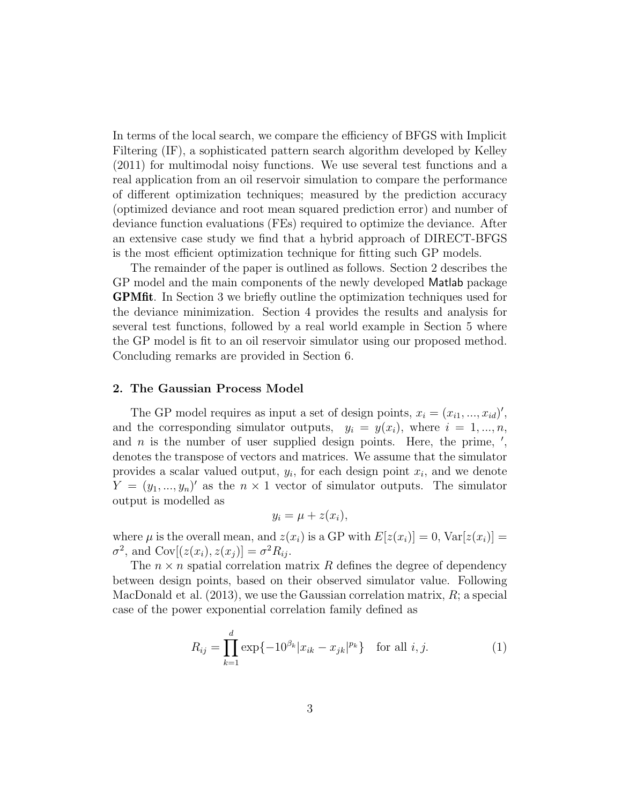In terms of the local search, we compare the efficiency of BFGS with Implicit Filtering (IF), a sophisticated pattern search algorithm developed by Kelley (2011) for multimodal noisy functions. We use several test functions and a real application from an oil reservoir simulation to compare the performance of different optimization techniques; measured by the prediction accuracy (optimized deviance and root mean squared prediction error) and number of deviance function evaluations (FEs) required to optimize the deviance. After an extensive case study we find that a hybrid approach of DIRECT-BFGS is the most efficient optimization technique for fitting such GP models.

The remainder of the paper is outlined as follows. Section 2 describes the GP model and the main components of the newly developed Matlab package GPMfit. In Section 3 we briefly outline the optimization techniques used for the deviance minimization. Section 4 provides the results and analysis for several test functions, followed by a real world example in Section 5 where the GP model is fit to an oil reservoir simulator using our proposed method. Concluding remarks are provided in Section 6.

#### 2. The Gaussian Process Model

The GP model requires as input a set of design points,  $x_i = (x_{i1}, ..., x_{id})'$ , and the corresponding simulator outputs,  $y_i = y(x_i)$ , where  $i = 1, ..., n$ , and  $n$  is the number of user supplied design points. Here, the prime,  $\prime$ , denotes the transpose of vectors and matrices. We assume that the simulator provides a scalar valued output,  $y_i$ , for each design point  $x_i$ , and we denote  $Y = (y_1, ..., y_n)'$  as the  $n \times 1$  vector of simulator outputs. The simulator output is modelled as

$$
y_i = \mu + z(x_i),
$$

where  $\mu$  is the overall mean, and  $z(x_i)$  is a GP with  $E[z(x_i)] = 0$ ,  $Var[z(x_i)] =$  $\sigma^2$ , and  $Cov[(z(x_i), z(x_j)] = \sigma^2 R_{ij}$ .

The  $n \times n$  spatial correlation matrix R defines the degree of dependency between design points, based on their observed simulator value. Following MacDonald et al.  $(2013)$ , we use the Gaussian correlation matrix, R; a special case of the power exponential correlation family defined as

$$
R_{ij} = \prod_{k=1}^{d} \exp\{-10^{\beta_k} |x_{ik} - x_{jk}|^{p_k}\} \text{ for all } i, j.
$$
 (1)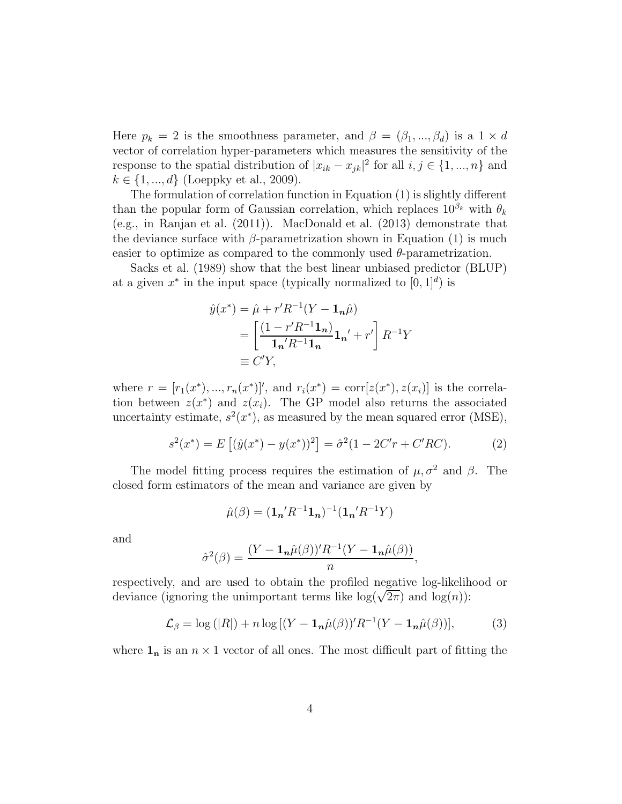Here  $p_k = 2$  is the smoothness parameter, and  $\beta = (\beta_1, ..., \beta_d)$  is a  $1 \times d$ vector of correlation hyper-parameters which measures the sensitivity of the response to the spatial distribution of  $|x_{ik} - x_{jk}|^2$  for all  $i, j \in \{1, ..., n\}$  and  $k \in \{1, ..., d\}$  (Loeppky et al., 2009).

The formulation of correlation function in Equation (1) is slightly different than the popular form of Gaussian correlation, which replaces  $10^{\beta_k}$  with  $\theta_k$ (e.g., in Ranjan et al. (2011)). MacDonald et al. (2013) demonstrate that the deviance surface with  $\beta$ -parametrization shown in Equation (1) is much easier to optimize as compared to the commonly used  $\theta$ -parametrization.

Sacks et al. (1989) show that the best linear unbiased predictor (BLUP) at a given  $x^*$  in the input space (typically normalized to  $[0, 1]^d$ ) is

$$
\hat{y}(x^*) = \hat{\mu} + r'R^{-1}(Y - \mathbf{1}_n\hat{\mu})
$$

$$
= \left[\frac{(1 - r'R^{-1}\mathbf{1}_n)}{\mathbf{1}_n'R^{-1}\mathbf{1}_n}\mathbf{1}_n' + r'\right]R^{-1}Y
$$

$$
\equiv C'Y,
$$

where  $r = [r_1(x^*), ..., r_n(x^*)]$ , and  $r_i(x^*) = \text{corr}[z(x^*), z(x_i)]$  is the correlation between  $z(x^*)$  and  $z(x_i)$ . The GP model also returns the associated uncertainty estimate,  $s^2(x^*)$ , as measured by the mean squared error (MSE),

$$
s^{2}(x^{*}) = E[(\hat{y}(x^{*}) - y(x^{*}))^{2}] = \hat{\sigma}^{2}(1 - 2C'r + C'RC).
$$
 (2)

The model fitting process requires the estimation of  $\mu$ ,  $\sigma^2$  and  $\beta$ . The closed form estimators of the mean and variance are given by

$$
\hat{\mu}(\beta) = (\mathbf{1}_{n}^{\prime} R^{-1} \mathbf{1}_{n})^{-1} (\mathbf{1}_{n}^{\prime} R^{-1} Y)
$$

and

$$
\hat{\sigma}^2(\beta) = \frac{(Y - \mathbf{1}_n \hat{\mu}(\beta))' R^{-1} (Y - \mathbf{1}_n \hat{\mu}(\beta))}{n},
$$

respectively, and are used to obtain the profiled negative log-likelihood or deviance (ignoring the unimportant terms like  $log(\sqrt{2\pi})$  and  $log(n)$ ):

$$
\mathcal{L}_{\beta} = \log (|R|) + n \log [(Y - \mathbf{1}_{n}\hat{\mu}(\beta))' R^{-1}(Y - \mathbf{1}_{n}\hat{\mu}(\beta))],
$$
 (3)

where  $\mathbf{1}_n$  is an  $n \times 1$  vector of all ones. The most difficult part of fitting the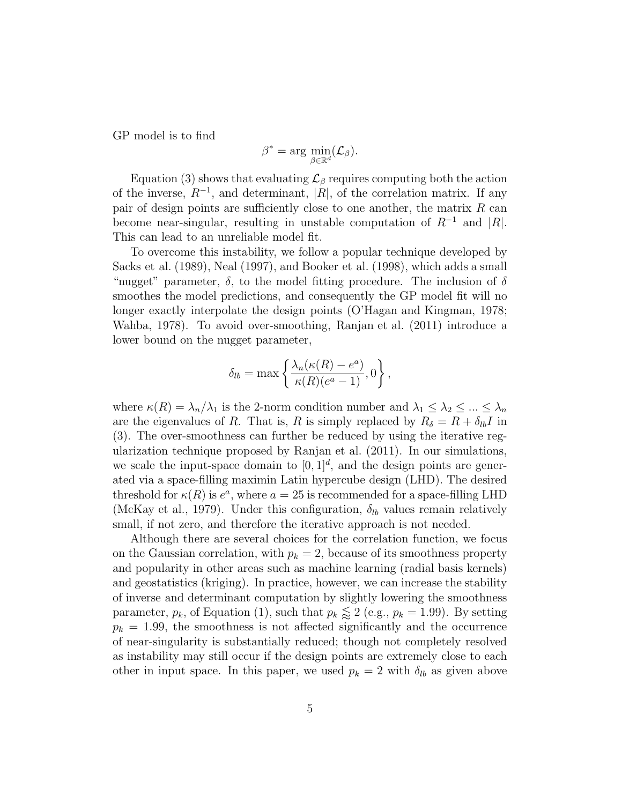GP model is to find

$$
\beta^* = \arg \min_{\beta \in \mathbb{R}^d} (\mathcal{L}_{\beta}).
$$

Equation (3) shows that evaluating  $\mathcal{L}_{\beta}$  requires computing both the action of the inverse,  $R^{-1}$ , and determinant, |R|, of the correlation matrix. If any pair of design points are sufficiently close to one another, the matrix  $R$  can become near-singular, resulting in unstable computation of  $R^{-1}$  and |R|. This can lead to an unreliable model fit.

To overcome this instability, we follow a popular technique developed by Sacks et al. (1989), Neal (1997), and Booker et al. (1998), which adds a small "nugget" parameter,  $\delta$ , to the model fitting procedure. The inclusion of  $\delta$ smoothes the model predictions, and consequently the GP model fit will no longer exactly interpolate the design points (O'Hagan and Kingman, 1978; Wahba, 1978). To avoid over-smoothing, Ranjan et al. (2011) introduce a lower bound on the nugget parameter,

$$
\delta_{lb} = \max \left\{ \frac{\lambda_n(\kappa(R) - e^a)}{\kappa(R)(e^a - 1)}, 0 \right\},\,
$$

where  $\kappa(R) = \lambda_n/\lambda_1$  is the 2-norm condition number and  $\lambda_1 \leq \lambda_2 \leq ... \leq \lambda_n$ are the eigenvalues of R. That is, R is simply replaced by  $R_{\delta} = R + \delta_{lb}I$  in (3). The over-smoothness can further be reduced by using the iterative regularization technique proposed by Ranjan et al. (2011). In our simulations, we scale the input-space domain to  $[0, 1]^d$ , and the design points are generated via a space-filling maximin Latin hypercube design (LHD). The desired threshold for  $\kappa(R)$  is  $e^a$ , where  $a = 25$  is recommended for a space-filling LHD (McKay et al., 1979). Under this configuration,  $\delta_{lb}$  values remain relatively small, if not zero, and therefore the iterative approach is not needed.

Although there are several choices for the correlation function, we focus on the Gaussian correlation, with  $p_k = 2$ , because of its smoothness property and popularity in other areas such as machine learning (radial basis kernels) and geostatistics (kriging). In practice, however, we can increase the stability of inverse and determinant computation by slightly lowering the smoothness parameter,  $p_k$ , of Equation (1), such that  $p_k \lessapprox 2$  (e.g.,  $p_k = 1.99$ ). By setting  $p_k = 1.99$ , the smoothness is not affected significantly and the occurrence of near-singularity is substantially reduced; though not completely resolved as instability may still occur if the design points are extremely close to each other in input space. In this paper, we used  $p_k = 2$  with  $\delta_{lb}$  as given above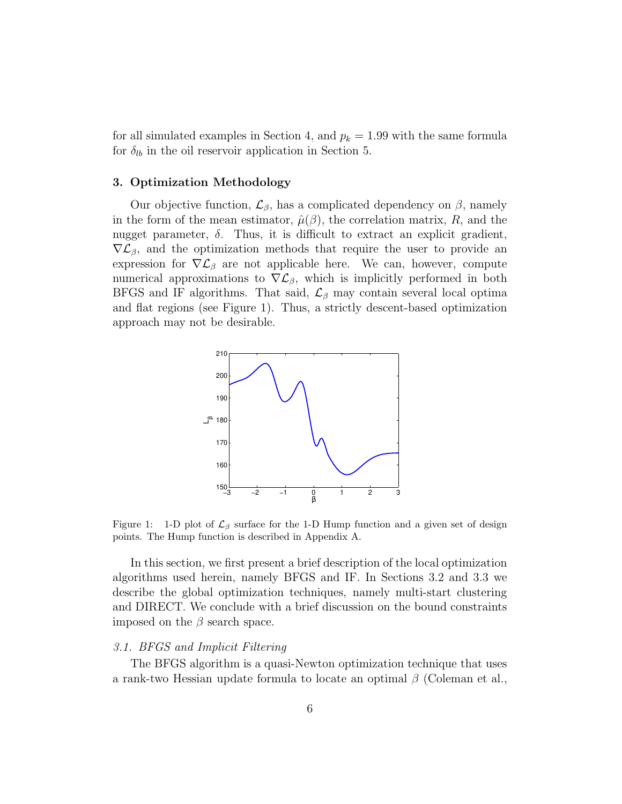for all simulated examples in Section 4, and  $p_k = 1.99$  with the same formula for  $\delta_{lb}$  in the oil reservoir application in Section 5.

## 3. Optimization Methodology

Our objective function,  $\mathcal{L}_{\beta}$ , has a complicated dependency on  $\beta$ , namely in the form of the mean estimator,  $\hat{\mu}(\beta)$ , the correlation matrix, R, and the nugget parameter,  $\delta$ . Thus, it is difficult to extract an explicit gradient,  $\nabla \mathcal{L}_{\beta}$ , and the optimization methods that require the user to provide an expression for  $\nabla \mathcal{L}_{\beta}$  are not applicable here. We can, however, compute numerical approximations to  $\nabla \mathcal{L}_{\beta}$ , which is implicitly performed in both BFGS and IF algorithms. That said,  $\mathcal{L}_{\beta}$  may contain several local optima and flat regions (see Figure 1). Thus, a strictly descent-based optimization approach may not be desirable.



Figure 1: 1-D plot of  $\mathcal{L}_{\beta}$  surface for the 1-D Hump function and a given set of design points. The Hump function is described in Appendix A.

In this section, we first present a brief description of the local optimization algorithms used herein, namely BFGS and IF. In Sections 3.2 and 3.3 we describe the global optimization techniques, namely multi-start clustering and DIRECT. We conclude with a brief discussion on the bound constraints imposed on the  $\beta$  search space.

# 3.1. BFGS and Implicit Filtering

The BFGS algorithm is a quasi-Newton optimization technique that uses a rank-two Hessian update formula to locate an optimal  $\beta$  (Coleman et al.,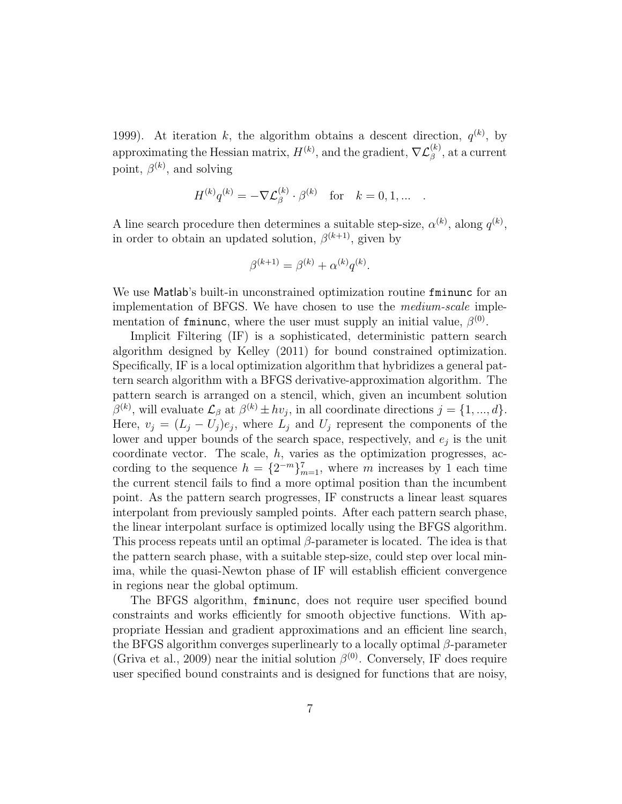1999). At iteration k, the algorithm obtains a descent direction,  $q^{(k)}$ , by approximating the Hessian matrix,  $H^{(k)}$ , and the gradient,  $\nabla \mathcal{L}_{\beta}^{(k)}$ , at a current point,  $\beta^{(k)}$ , and solving

$$
H^{(k)} q^{(k)} = -\nabla \mathcal{L}_\beta^{(k)} \cdot \beta^{(k)} \quad \text{for} \quad k=0,1,\ldots \quad .
$$

A line search procedure then determines a suitable step-size,  $\alpha^{(k)}$ , along  $q^{(k)}$ , in order to obtain an updated solution,  $\beta^{(k+1)}$ , given by

$$
\beta^{(k+1)} = \beta^{(k)} + \alpha^{(k)} q^{(k)}.
$$

We use Matlab's built-in unconstrained optimization routine fminunc for an implementation of BFGS. We have chosen to use the medium-scale implementation of fminunc, where the user must supply an initial value,  $\beta^{(0)}$ .

Implicit Filtering (IF) is a sophisticated, deterministic pattern search algorithm designed by Kelley (2011) for bound constrained optimization. Specifically, IF is a local optimization algorithm that hybridizes a general pattern search algorithm with a BFGS derivative-approximation algorithm. The pattern search is arranged on a stencil, which, given an incumbent solution  $\beta^{(k)}$ , will evaluate  $\mathcal{L}_{\beta}$  at  $\beta^{(k)} \pm hv_j$ , in all coordinate directions  $j = \{1, ..., d\}.$ Here,  $v_j = (L_j - U_j)e_j$ , where  $L_j$  and  $U_j$  represent the components of the lower and upper bounds of the search space, respectively, and  $e_j$  is the unit coordinate vector. The scale,  $h$ , varies as the optimization progresses, according to the sequence  $h = \{2^{-m}\}_{m=1}^7$ , where m increases by 1 each time the current stencil fails to find a more optimal position than the incumbent point. As the pattern search progresses, IF constructs a linear least squares interpolant from previously sampled points. After each pattern search phase, the linear interpolant surface is optimized locally using the BFGS algorithm. This process repeats until an optimal  $\beta$ -parameter is located. The idea is that the pattern search phase, with a suitable step-size, could step over local minima, while the quasi-Newton phase of IF will establish efficient convergence in regions near the global optimum.

The BFGS algorithm, fminunc, does not require user specified bound constraints and works efficiently for smooth objective functions. With appropriate Hessian and gradient approximations and an efficient line search, the BFGS algorithm converges superlinearly to a locally optimal  $\beta$ -parameter (Griva et al., 2009) near the initial solution  $\beta^{(0)}$ . Conversely, IF does require user specified bound constraints and is designed for functions that are noisy,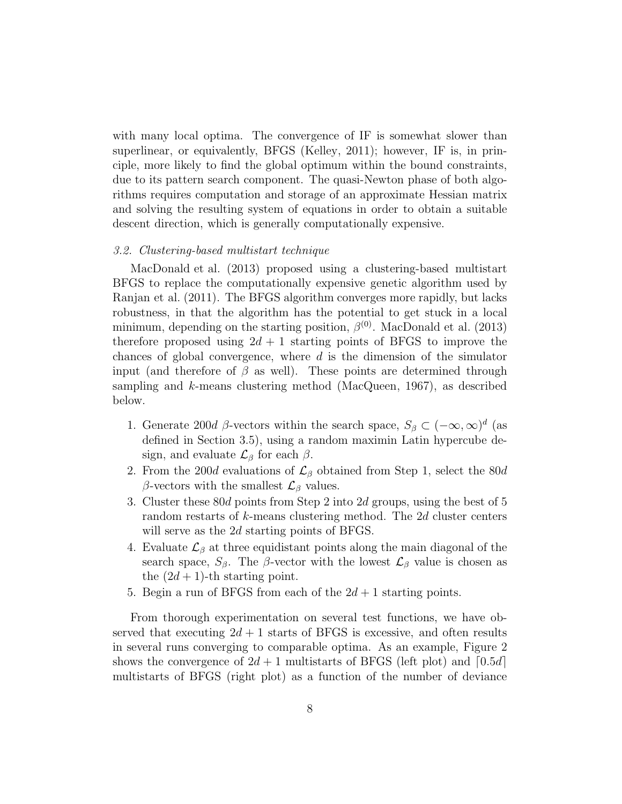with many local optima. The convergence of IF is somewhat slower than superlinear, or equivalently, BFGS (Kelley, 2011); however, IF is, in principle, more likely to find the global optimum within the bound constraints, due to its pattern search component. The quasi-Newton phase of both algorithms requires computation and storage of an approximate Hessian matrix and solving the resulting system of equations in order to obtain a suitable descent direction, which is generally computationally expensive.

## 3.2. Clustering-based multistart technique

MacDonald et al. (2013) proposed using a clustering-based multistart BFGS to replace the computationally expensive genetic algorithm used by Ranjan et al. (2011). The BFGS algorithm converges more rapidly, but lacks robustness, in that the algorithm has the potential to get stuck in a local minimum, depending on the starting position,  $\beta^{(0)}$ . MacDonald et al. (2013) therefore proposed using  $2d + 1$  starting points of BFGS to improve the chances of global convergence, where  $d$  is the dimension of the simulator input (and therefore of  $\beta$  as well). These points are determined through sampling and  $k$ -means clustering method (MacQueen, 1967), as described below.

- 1. Generate 200d  $\beta$ -vectors within the search space,  $S_{\beta} \subset (-\infty, \infty)^d$  (as defined in Section 3.5), using a random maximin Latin hypercube design, and evaluate  $\mathcal{L}_{\beta}$  for each  $\beta$ .
- 2. From the 200d evaluations of  $\mathcal{L}_{\beta}$  obtained from Step 1, select the 80d β-vectors with the smallest  $\mathcal{L}_{\beta}$  values.
- 3. Cluster these 80d points from Step 2 into 2d groups, using the best of 5 random restarts of k-means clustering method. The 2d cluster centers will serve as the 2d starting points of BFGS.
- 4. Evaluate  $\mathcal{L}_{\beta}$  at three equidistant points along the main diagonal of the search space,  $S_\beta$ . The  $\beta$ -vector with the lowest  $\mathcal{L}_\beta$  value is chosen as the  $(2d + 1)$ -th starting point.
- 5. Begin a run of BFGS from each of the  $2d+1$  starting points.

From thorough experimentation on several test functions, we have observed that executing  $2d + 1$  starts of BFGS is excessive, and often results in several runs converging to comparable optima. As an example, Figure 2 shows the convergence of  $2d + 1$  multistarts of BFGS (left plot) and  $[0.5d]$ multistarts of BFGS (right plot) as a function of the number of deviance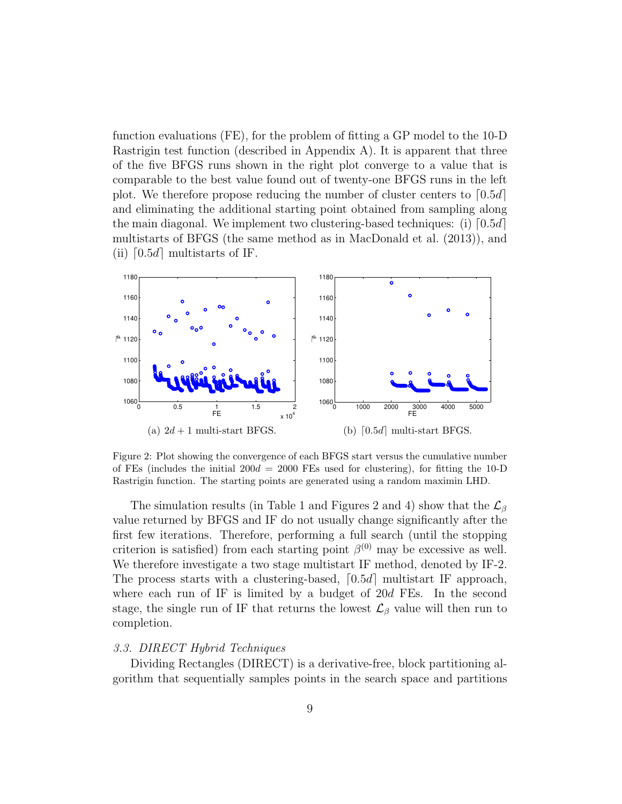function evaluations (FE), for the problem of fitting a GP model to the 10-D Rastrigin test function (described in Appendix A). It is apparent that three of the five BFGS runs shown in the right plot converge to a value that is comparable to the best value found out of twenty-one BFGS runs in the left plot. We therefore propose reducing the number of cluster centers to  $[0.5d]$ and eliminating the additional starting point obtained from sampling along the main diagonal. We implement two clustering-based techniques: (i)  $[0.5d]$ multistarts of BFGS (the same method as in MacDonald et al. (2013)), and (ii)  $\lceil 0.5d \rceil$  multistarts of IF.



Figure 2: Plot showing the convergence of each BFGS start versus the cumulative number of FEs (includes the initial  $200d = 2000$  FEs used for clustering), for fitting the 10-D Rastrigin function. The starting points are generated using a random maximin LHD.

The simulation results (in Table 1 and Figures 2 and 4) show that the  $\mathcal{L}_{\beta}$ value returned by BFGS and IF do not usually change significantly after the first few iterations. Therefore, performing a full search (until the stopping criterion is satisfied) from each starting point  $\beta^{(0)}$  may be excessive as well. We therefore investigate a two stage multistart IF method, denoted by IF-2. The process starts with a clustering-based,  $\lceil 0.5d \rceil$  multistart IF approach, where each run of IF is limited by a budget of 20d FEs. In the second stage, the single run of IF that returns the lowest  $\mathcal{L}_{\beta}$  value will then run to completion.

#### 3.3. DIRECT Hybrid Techniques

Dividing Rectangles (DIRECT) is a derivative-free, block partitioning algorithm that sequentially samples points in the search space and partitions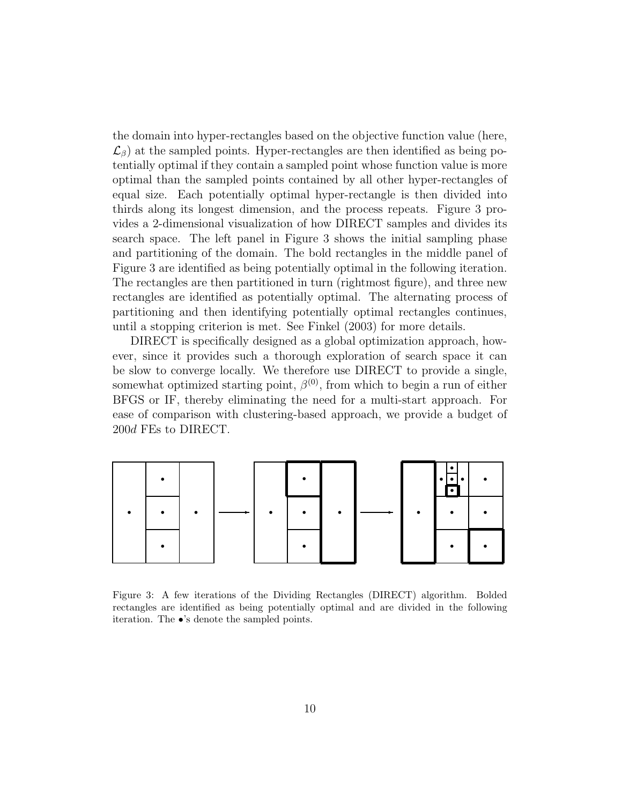the domain into hyper-rectangles based on the objective function value (here,  $\mathcal{L}_{\beta}$ ) at the sampled points. Hyper-rectangles are then identified as being potentially optimal if they contain a sampled point whose function value is more optimal than the sampled points contained by all other hyper-rectangles of equal size. Each potentially optimal hyper-rectangle is then divided into thirds along its longest dimension, and the process repeats. Figure 3 provides a 2-dimensional visualization of how DIRECT samples and divides its search space. The left panel in Figure 3 shows the initial sampling phase and partitioning of the domain. The bold rectangles in the middle panel of Figure 3 are identified as being potentially optimal in the following iteration. The rectangles are then partitioned in turn (rightmost figure), and three new rectangles are identified as potentially optimal. The alternating process of partitioning and then identifying potentially optimal rectangles continues, until a stopping criterion is met. See Finkel (2003) for more details.

DIRECT is specifically designed as a global optimization approach, however, since it provides such a thorough exploration of search space it can be slow to converge locally. We therefore use DIRECT to provide a single, somewhat optimized starting point,  $\beta^{(0)}$ , from which to begin a run of either BFGS or IF, thereby eliminating the need for a multi-start approach. For ease of comparison with clustering-based approach, we provide a budget of 200d FEs to DIRECT.



Figure 3: A few iterations of the Dividing Rectangles (DIRECT) algorithm. Bolded rectangles are identified as being potentially optimal and are divided in the following iteration. The •'s denote the sampled points.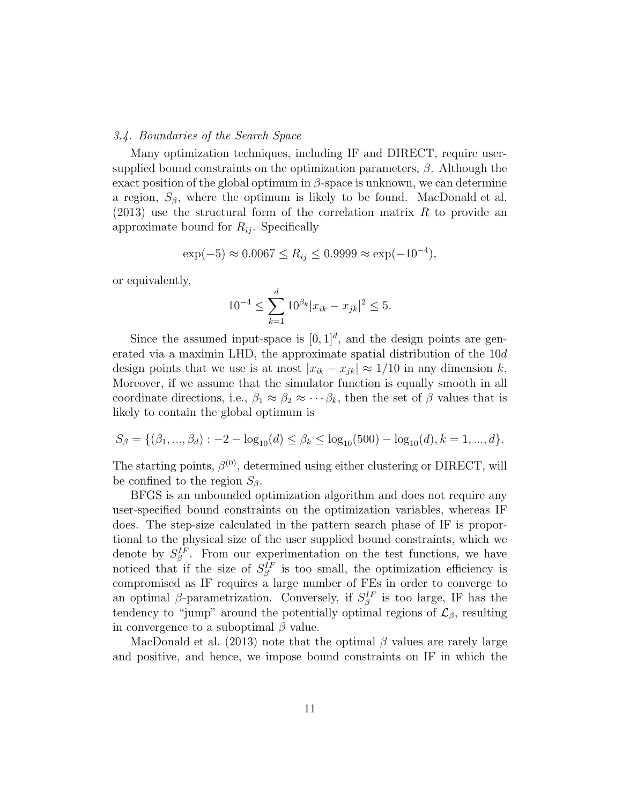## 3.4. Boundaries of the Search Space

Many optimization techniques, including IF and DIRECT, require usersupplied bound constraints on the optimization parameters,  $\beta$ . Although the exact position of the global optimum in  $\beta$ -space is unknown, we can determine a region,  $S_\beta$ , where the optimum is likely to be found. MacDonald et al.  $(2013)$  use the structural form of the correlation matrix R to provide an approximate bound for  $R_{ij}$ . Specifically

$$
\exp(-5) \approx 0.0067 \le R_{ij} \le 0.9999 \approx \exp(-10^{-4}),
$$

or equivalently,

$$
10^{-4} \le \sum_{k=1}^{d} 10^{\beta_k} |x_{ik} - x_{jk}|^2 \le 5.
$$

Since the assumed input-space is  $[0,1]^d$ , and the design points are generated via a maximin LHD, the approximate spatial distribution of the 10d design points that we use is at most  $|x_{ik} - x_{jk}| \approx 1/10$  in any dimension k. Moreover, if we assume that the simulator function is equally smooth in all coordinate directions, i.e.,  $\beta_1 \approx \beta_2 \approx \cdots \beta_k$ , then the set of  $\beta$  values that is likely to contain the global optimum is

$$
S_{\beta} = \{(\beta_1, ..., \beta_d) : -2 - \log_{10}(d) \le \beta_k \le \log_{10}(500) - \log_{10}(d), k = 1, ..., d\}.
$$

The starting points,  $\beta^{(0)}$ , determined using either clustering or DIRECT, will be confined to the region  $S_\beta$ .

BFGS is an unbounded optimization algorithm and does not require any user-specified bound constraints on the optimization variables, whereas IF does. The step-size calculated in the pattern search phase of IF is proportional to the physical size of the user supplied bound constraints, which we denote by  $S_{\beta}^{IF}$ . From our experimentation on the test functions, we have noticed that if the size of  $S_{\beta}^{IF}$  is too small, the optimization efficiency is compromised as IF requires a large number of FEs in order to converge to an optimal  $\beta$ -parametrization. Conversely, if  $S_{\beta}^{IF}$  is too large, IF has the tendency to "jump" around the potentially optimal regions of  $\mathcal{L}_{\beta}$ , resulting in convergence to a suboptimal  $\beta$  value.

MacDonald et al. (2013) note that the optimal  $\beta$  values are rarely large and positive, and hence, we impose bound constraints on IF in which the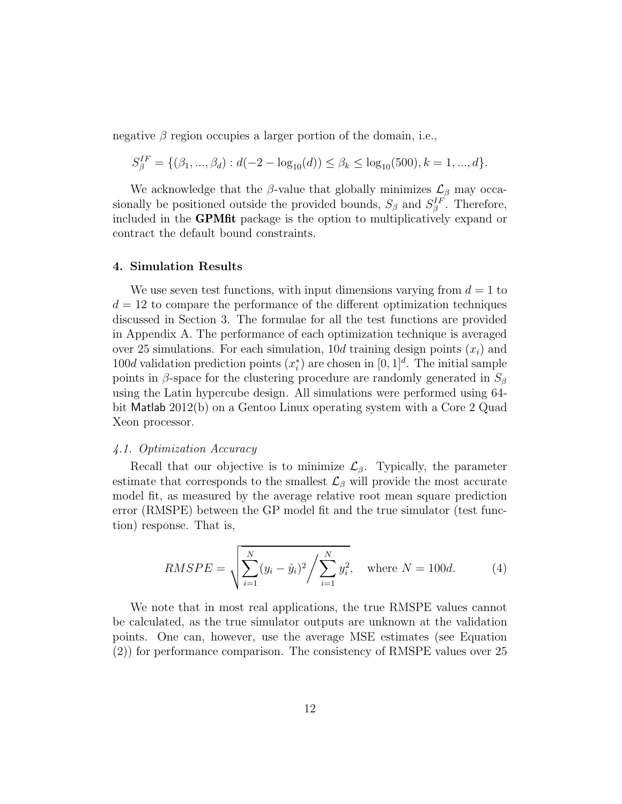negative  $\beta$  region occupies a larger portion of the domain, i.e.,

$$
S_{\beta}^{IF} = \{(\beta_1, ..., \beta_d) : d(-2 - \log_{10}(d)) \le \beta_k \le \log_{10}(500), k = 1, ..., d\}.
$$

We acknowledge that the  $\beta$ -value that globally minimizes  $\mathcal{L}_{\beta}$  may occasionally be positioned outside the provided bounds,  $S_{\beta}$  and  $S_{\beta}^{IF}$ . Therefore, included in the GPMfit package is the option to multiplicatively expand or contract the default bound constraints.

## 4. Simulation Results

We use seven test functions, with input dimensions varying from  $d = 1$  to  $d = 12$  to compare the performance of the different optimization techniques discussed in Section 3. The formulae for all the test functions are provided in Appendix A. The performance of each optimization technique is averaged over 25 simulations. For each simulation, 10d training design points  $(x_i)$  and 100d validation prediction points  $(x_i^*)$  are chosen in  $[0, 1]^d$ . The initial sample points in  $\beta$ -space for the clustering procedure are randomly generated in  $S_{\beta}$ using the Latin hypercube design. All simulations were performed using 64 bit Matlab 2012(b) on a Gentoo Linux operating system with a Core 2 Quad Xeon processor.

#### 4.1. Optimization Accuracy

Recall that our objective is to minimize  $\mathcal{L}_{\beta}$ . Typically, the parameter estimate that corresponds to the smallest  $\mathcal{L}_{\beta}$  will provide the most accurate model fit, as measured by the average relative root mean square prediction error (RMSPE) between the GP model fit and the true simulator (test function) response. That is,

$$
RMSPE = \sqrt{\sum_{i=1}^{N} (y_i - \hat{y}_i)^2 / \sum_{i=1}^{N} y_i^2}, \text{ where } N = 100d.
$$
 (4)

We note that in most real applications, the true RMSPE values cannot be calculated, as the true simulator outputs are unknown at the validation points. One can, however, use the average MSE estimates (see Equation (2)) for performance comparison. The consistency of RMSPE values over 25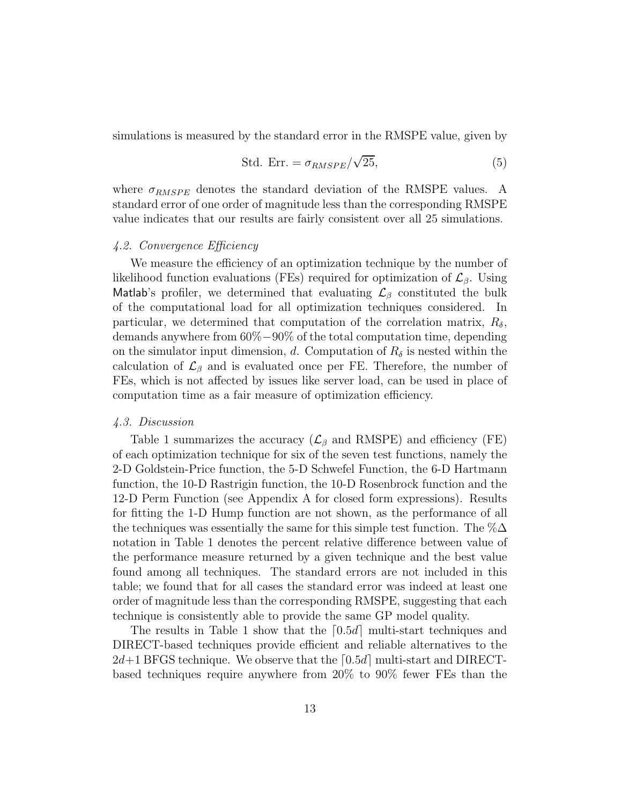simulations is measured by the standard error in the RMSPE value, given by

$$
\text{Std. Err.} = \sigma_{RMSPE} / \sqrt{25},\tag{5}
$$

where  $\sigma_{RMSPE}$  denotes the standard deviation of the RMSPE values. A standard error of one order of magnitude less than the corresponding RMSPE value indicates that our results are fairly consistent over all 25 simulations.

# 4.2. Convergence Efficiency

We measure the efficiency of an optimization technique by the number of likelihood function evaluations (FEs) required for optimization of  $\mathcal{L}_{\beta}$ . Using Matlab's profiler, we determined that evaluating  $\mathcal{L}_{\beta}$  constituted the bulk of the computational load for all optimization techniques considered. In particular, we determined that computation of the correlation matrix,  $R_{\delta}$ , demands anywhere from 60%−90% of the total computation time, depending on the simulator input dimension, d. Computation of  $R_{\delta}$  is nested within the calculation of  $\mathcal{L}_{\beta}$  and is evaluated once per FE. Therefore, the number of FEs, which is not affected by issues like server load, can be used in place of computation time as a fair measure of optimization efficiency.

## 4.3. Discussion

Table 1 summarizes the accuracy ( $\mathcal{L}_{\beta}$  and RMSPE) and efficiency (FE) of each optimization technique for six of the seven test functions, namely the 2-D Goldstein-Price function, the 5-D Schwefel Function, the 6-D Hartmann function, the 10-D Rastrigin function, the 10-D Rosenbrock function and the 12-D Perm Function (see Appendix A for closed form expressions). Results for fitting the 1-D Hump function are not shown, as the performance of all the techniques was essentially the same for this simple test function. The  $% \Delta$ notation in Table 1 denotes the percent relative difference between value of the performance measure returned by a given technique and the best value found among all techniques. The standard errors are not included in this table; we found that for all cases the standard error was indeed at least one order of magnitude less than the corresponding RMSPE, suggesting that each technique is consistently able to provide the same GP model quality.

The results in Table 1 show that the  $[0.5d]$  multi-start techniques and DIRECT-based techniques provide efficient and reliable alternatives to the  $2d+1$  BFGS technique. We observe that the [0.5d] multi-start and DIRECTbased techniques require anywhere from 20% to 90% fewer FEs than the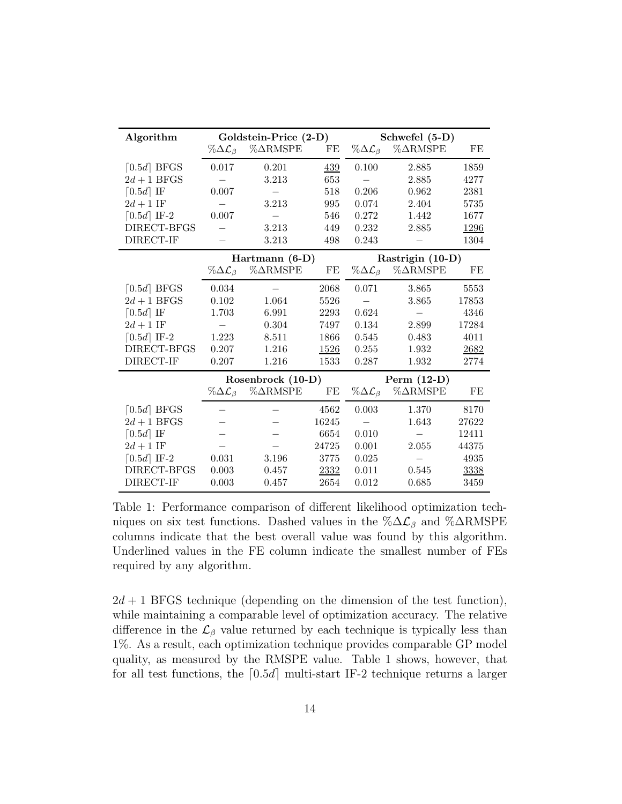| Algorithm                 | Goldstein-Price (2-D)           |                                                 |          | Schwefel (5-D)                |                                                 |       |
|---------------------------|---------------------------------|-------------------------------------------------|----------|-------------------------------|-------------------------------------------------|-------|
|                           |                                 | $\%\Delta \mathcal{L}_{\beta}$ % $\Delta$ RMSPE | $\rm FE$ |                               | $\%\Delta \mathcal{L}_{\beta}$ % $\Delta$ RMSPE | FE    |
| $[0.5d]$ BFGS             | 0.017                           | 0.201                                           | 439      | 0.100                         | 2.885                                           | 1859  |
| $2d+1$ BFGS               |                                 | 3.213                                           | 653      |                               | 2.885                                           | 4277  |
| $\lceil 0.5d \rceil$ IF   | 0.007                           |                                                 | 518      | 0.206                         | 0.962                                           | 2381  |
| $2d+1$ IF                 |                                 | 3.213                                           | 995      | 0.074                         | 2.404                                           | 5735  |
| $\lceil 0.5d \rceil$ IF-2 | 0.007                           |                                                 | 546      | 0.272                         | 1.442                                           | 1677  |
| DIRECT-BFGS               |                                 | 3.213                                           | 449      | 0.232                         | 2.885                                           | 1296  |
| DIRECT-IF                 |                                 | 3.213                                           | 498      | 0.243                         |                                                 | 1304  |
|                           |                                 | Hartmann $(6-D)$                                |          | Rastrigin (10-D)              |                                                 |       |
|                           | $\% \Delta \mathcal{L}_{\beta}$ | $\%\Delta$ RMSPE                                | $\rm FE$ |                               | $\%\Delta \mathcal{L}_{\beta}$ % $\Delta$ RMSPE | FE    |
| $[0.5d]$ BFGS             | 0.034                           |                                                 | 2068     | 0.071                         | 3.865                                           | 5553  |
| $2d+1$ BFGS               | 0.102                           | 1.064                                           | 5526     |                               | 3.865                                           | 17853 |
| $\lceil 0.5d \rceil$ IF   | 1.703                           | 6.991                                           | 2293     | 0.624                         | $\qquad \qquad -$                               | 4346  |
| $2d+1$ IF                 |                                 | 0.304                                           | 7497     | 0.134                         | 2.899                                           | 17284 |
| $\lceil 0.5d \rceil$ IF-2 | 1.223                           | 8.511                                           | 1866     | 0.545                         | 0.483                                           | 4011  |
| DIRECT-BFGS               | 0.207                           | 1.216                                           | 1526     | 0.255                         | 1.932                                           | 2682  |
| DIRECT-IF                 | 0.207                           | 1.216                                           | 1533     | 0.287                         | 1.932                                           | 2774  |
|                           | Rosenbrock (10-D)               |                                                 |          | Perm $(12-D)$                 |                                                 |       |
|                           | $\% \Delta \mathcal{L}_{\beta}$ | $\%\Delta$ RMSPE                                | FE       | $\%\Delta\mathcal{L}_{\beta}$ | $\%\Delta$ RMSPE                                | FE    |
| $[0.5d]$ BFGS             |                                 |                                                 | 4562     | 0.003                         | 1.370                                           | 8170  |
| $2d+1$ BFGS               |                                 |                                                 | 16245    |                               | 1.643                                           | 27622 |
| $\lceil 0.5d \rceil$ IF   |                                 |                                                 | 6654     | 0.010                         |                                                 | 12411 |
| $2d+1$ IF                 |                                 |                                                 | 24725    | 0.001                         | 2.055                                           | 44375 |
| $\lceil 0.5d \rceil$ IF-2 | 0.031                           | 3.196                                           | 3775     | 0.025                         |                                                 | 4935  |
| DIRECT-BFGS               | 0.003                           | 0.457                                           | 2332     | 0.011                         | 0.545                                           | 3338  |
| DIRECT-IF                 | 0.003                           | 0.457                                           | 2654     | 0.012                         | 0.685                                           | 3459  |

Table 1: Performance comparison of different likelihood optimization techniques on six test functions. Dashed values in the  $\% \Delta \mathcal{L}_{\beta}$  and  $\% \Delta RMSPE$ columns indicate that the best overall value was found by this algorithm. Underlined values in the FE column indicate the smallest number of FEs required by any algorithm.

 $2d + 1$  BFGS technique (depending on the dimension of the test function), while maintaining a comparable level of optimization accuracy. The relative difference in the  $\mathcal{L}_{\beta}$  value returned by each technique is typically less than 1%. As a result, each optimization technique provides comparable GP model quality, as measured by the RMSPE value. Table 1 shows, however, that for all test functions, the  $[0.5d]$  multi-start IF-2 technique returns a larger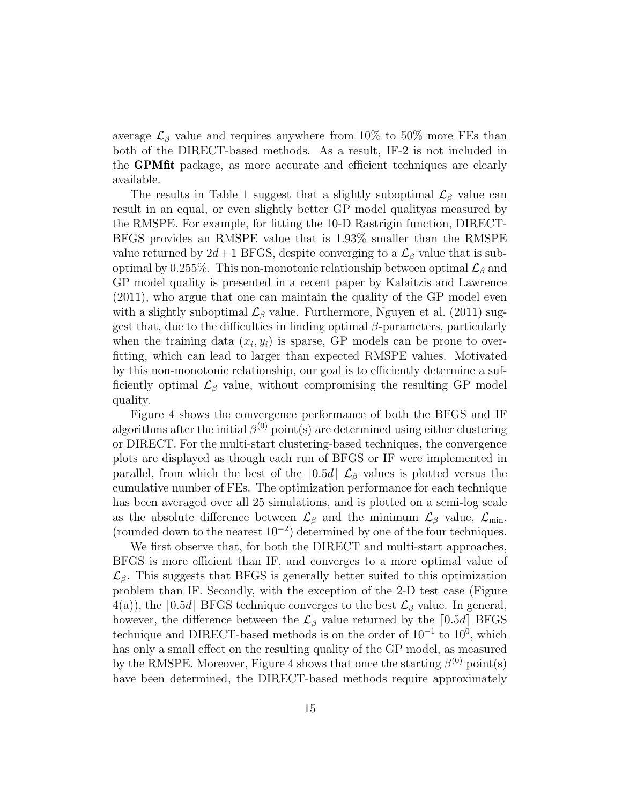average  $\mathcal{L}_{\beta}$  value and requires anywhere from 10% to 50% more FEs than both of the DIRECT-based methods. As a result, IF-2 is not included in the GPMfit package, as more accurate and efficient techniques are clearly available.

The results in Table 1 suggest that a slightly suboptimal  $\mathcal{L}_{\beta}$  value can result in an equal, or even slightly better GP model qualityas measured by the RMSPE. For example, for fitting the 10-D Rastrigin function, DIRECT-BFGS provides an RMSPE value that is 1.93% smaller than the RMSPE value returned by  $2d+1$  BFGS, despite converging to a  $\mathcal{L}_{\beta}$  value that is suboptimal by 0.255%. This non-monotonic relationship between optimal  $\mathcal{L}_\beta$  and GP model quality is presented in a recent paper by Kalaitzis and Lawrence (2011), who argue that one can maintain the quality of the GP model even with a slightly suboptimal  $\mathcal{L}_{\beta}$  value. Furthermore, Nguyen et al. (2011) suggest that, due to the difficulties in finding optimal  $\beta$ -parameters, particularly when the training data  $(x_i, y_i)$  is sparse, GP models can be prone to overfitting, which can lead to larger than expected RMSPE values. Motivated by this non-monotonic relationship, our goal is to efficiently determine a sufficiently optimal  $\mathcal{L}_{\beta}$  value, without compromising the resulting GP model quality.

Figure 4 shows the convergence performance of both the BFGS and IF algorithms after the initial  $\beta^{(0)}$  point(s) are determined using either clustering or DIRECT. For the multi-start clustering-based techniques, the convergence plots are displayed as though each run of BFGS or IF were implemented in parallel, from which the best of the  $[0.5d]$   $\mathcal{L}_{\beta}$  values is plotted versus the cumulative number of FEs. The optimization performance for each technique has been averaged over all 25 simulations, and is plotted on a semi-log scale as the absolute difference between  $\mathcal{L}_{\beta}$  and the minimum  $\mathcal{L}_{\beta}$  value,  $\mathcal{L}_{\min}$ , (rounded down to the nearest  $10^{-2}$ ) determined by one of the four techniques.

We first observe that, for both the DIRECT and multi-start approaches, BFGS is more efficient than IF, and converges to a more optimal value of  $\mathcal{L}_{\beta}$ . This suggests that BFGS is generally better suited to this optimization problem than IF. Secondly, with the exception of the 2-D test case (Figure  $4(a)$ , the [0.5d] BFGS technique converges to the best  $\mathcal{L}_{\beta}$  value. In general, however, the difference between the  $\mathcal{L}_{\beta}$  value returned by the [0.5d] BFGS technique and DIRECT-based methods is on the order of  $10^{-1}$  to  $10^0$ , which has only a small effect on the resulting quality of the GP model, as measured by the RMSPE. Moreover, Figure 4 shows that once the starting  $\beta^{(0)}$  point(s) have been determined, the DIRECT-based methods require approximately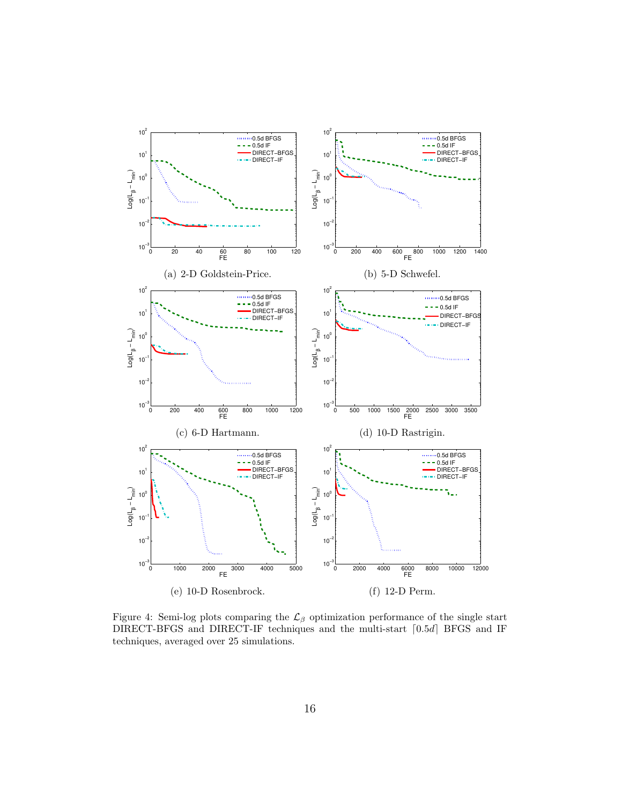

Figure 4: Semi-log plots comparing the  $\mathcal{L}_{\beta}$  optimization performance of the single start DIRECT-BFGS and DIRECT-IF techniques and the multi-start  $[0.5d]$  BFGS and IF techniques, averaged over 25 simulations.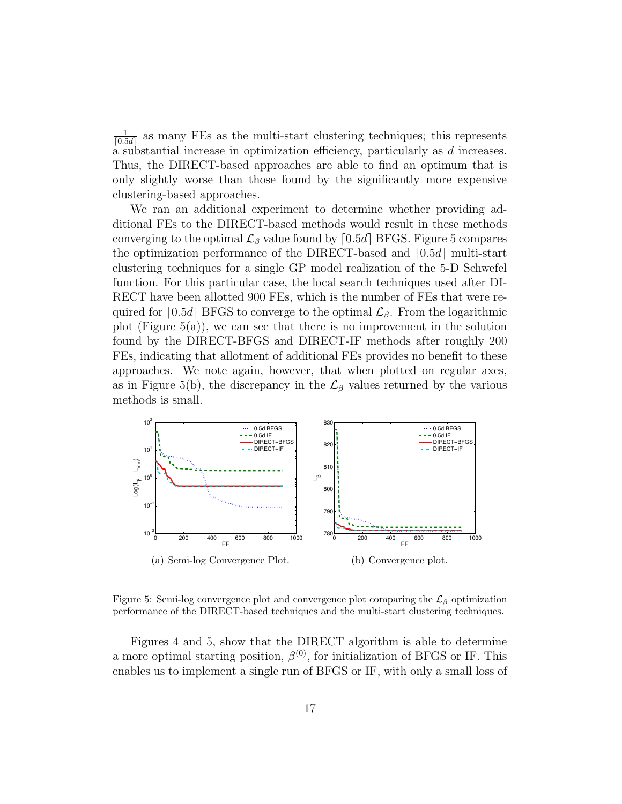1  $\frac{1}{[0.5d]}$  as many FEs as the multi-start clustering techniques; this represents a substantial increase in optimization efficiency, particularly as d increases. Thus, the DIRECT-based approaches are able to find an optimum that is only slightly worse than those found by the significantly more expensive clustering-based approaches.

We ran an additional experiment to determine whether providing additional FEs to the DIRECT-based methods would result in these methods converging to the optimal  $\mathcal{L}_{\beta}$  value found by [0.5d] BFGS. Figure 5 compares the optimization performance of the DIRECT-based and  $[0.5d]$  multi-start clustering techniques for a single GP model realization of the 5-D Schwefel function. For this particular case, the local search techniques used after DI-RECT have been allotted 900 FEs, which is the number of FEs that were required for [0.5d] BFGS to converge to the optimal  $\mathcal{L}_{\beta}$ . From the logarithmic plot (Figure  $5(a)$ ), we can see that there is no improvement in the solution found by the DIRECT-BFGS and DIRECT-IF methods after roughly 200 FEs, indicating that allotment of additional FEs provides no benefit to these approaches. We note again, however, that when plotted on regular axes, as in Figure 5(b), the discrepancy in the  $\mathcal{L}_{\beta}$  values returned by the various methods is small.



Figure 5: Semi-log convergence plot and convergence plot comparing the  $\mathcal{L}_{\beta}$  optimization performance of the DIRECT-based techniques and the multi-start clustering techniques.

Figures 4 and 5, show that the DIRECT algorithm is able to determine a more optimal starting position,  $\beta^{(0)}$ , for initialization of BFGS or IF. This enables us to implement a single run of BFGS or IF, with only a small loss of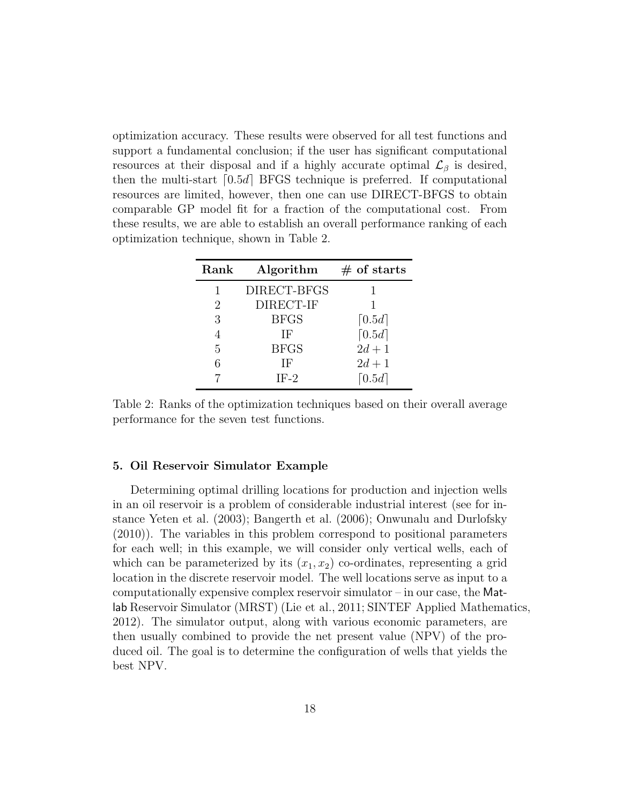optimization accuracy. These results were observed for all test functions and support a fundamental conclusion; if the user has significant computational resources at their disposal and if a highly accurate optimal  $\mathcal{L}_{\beta}$  is desired, then the multi-start  $[0.5d]$  BFGS technique is preferred. If computational resources are limited, however, then one can use DIRECT-BFGS to obtain comparable GP model fit for a fraction of the computational cost. From these results, we are able to establish an overall performance ranking of each optimization technique, shown in Table 2.

| Rank | Algorithm   | $#$ of starts        |
|------|-------------|----------------------|
| 1    | DIRECT-BFGS |                      |
| 2    | DIRECT-IF   |                      |
| 3    | <b>BFGS</b> | $\lceil 0.5d \rceil$ |
| 4    | ΙF          | $\lceil 0.5d \rceil$ |
| 5    | <b>BFGS</b> | $2d + 1$             |
| 6    | ΙF          | $2d + 1$             |
|      | $IF-2$      | $\lceil 0.5d \rceil$ |

Table 2: Ranks of the optimization techniques based on their overall average performance for the seven test functions.

# 5. Oil Reservoir Simulator Example

Determining optimal drilling locations for production and injection wells in an oil reservoir is a problem of considerable industrial interest (see for instance Yeten et al. (2003); Bangerth et al. (2006); Onwunalu and Durlofsky (2010)). The variables in this problem correspond to positional parameters for each well; in this example, we will consider only vertical wells, each of which can be parameterized by its  $(x_1, x_2)$  co-ordinates, representing a grid location in the discrete reservoir model. The well locations serve as input to a computationally expensive complex reservoir simulator  $-$  in our case, the Matlab Reservoir Simulator (MRST) (Lie et al., 2011; SINTEF Applied Mathematics, 2012). The simulator output, along with various economic parameters, are then usually combined to provide the net present value (NPV) of the produced oil. The goal is to determine the configuration of wells that yields the best NPV.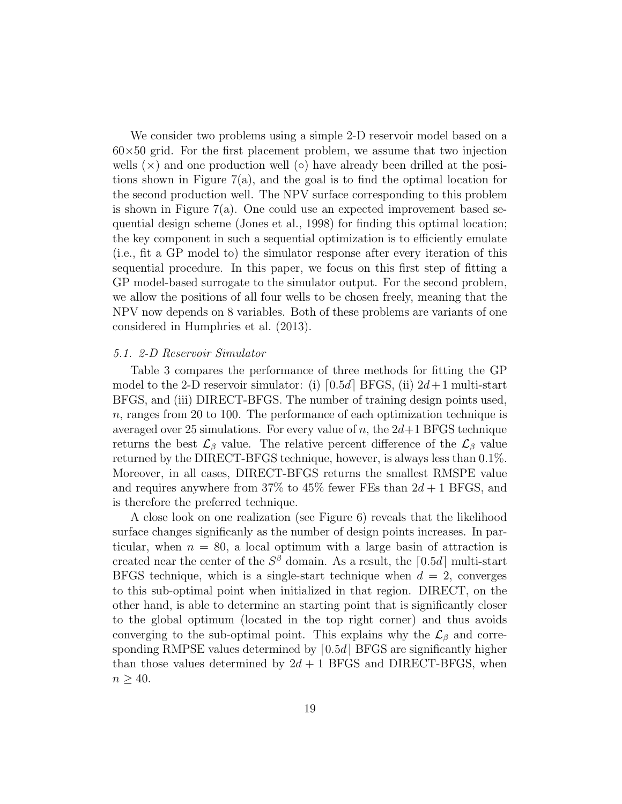We consider two problems using a simple 2-D reservoir model based on a  $60\times50$  grid. For the first placement problem, we assume that two injection wells  $(\times)$  and one production well  $(\circ)$  have already been drilled at the positions shown in Figure  $7(a)$ , and the goal is to find the optimal location for the second production well. The NPV surface corresponding to this problem is shown in Figure  $7(a)$ . One could use an expected improvement based sequential design scheme (Jones et al., 1998) for finding this optimal location; the key component in such a sequential optimization is to efficiently emulate (i.e., fit a GP model to) the simulator response after every iteration of this sequential procedure. In this paper, we focus on this first step of fitting a GP model-based surrogate to the simulator output. For the second problem, we allow the positions of all four wells to be chosen freely, meaning that the NPV now depends on 8 variables. Both of these problems are variants of one considered in Humphries et al. (2013).

# 5.1. 2-D Reservoir Simulator

Table 3 compares the performance of three methods for fitting the GP model to the 2-D reservoir simulator: (i)  $[0.5d]$  BFGS, (ii)  $2d+1$  multi-start BFGS, and (iii) DIRECT-BFGS. The number of training design points used, n, ranges from 20 to 100. The performance of each optimization technique is averaged over 25 simulations. For every value of n, the  $2d+1$  BFGS technique returns the best  $\mathcal{L}_{\beta}$  value. The relative percent difference of the  $\mathcal{L}_{\beta}$  value returned by the DIRECT-BFGS technique, however, is always less than 0.1%. Moreover, in all cases, DIRECT-BFGS returns the smallest RMSPE value and requires anywhere from 37% to 45% fewer FEs than  $2d + 1$  BFGS, and is therefore the preferred technique.

A close look on one realization (see Figure 6) reveals that the likelihood surface changes significanly as the number of design points increases. In particular, when  $n = 80$ , a local optimum with a large basin of attraction is created near the center of the  $S^{\beta}$  domain. As a result, the [0.5d] multi-start BFGS technique, which is a single-start technique when  $d = 2$ , converges to this sub-optimal point when initialized in that region. DIRECT, on the other hand, is able to determine an starting point that is significantly closer to the global optimum (located in the top right corner) and thus avoids converging to the sub-optimal point. This explains why the  $\mathcal{L}_{\beta}$  and corresponding RMPSE values determined by  $[0.5d]$  BFGS are significantly higher than those values determined by  $2d + 1$  BFGS and DIRECT-BFGS, when  $n \geq 40$ .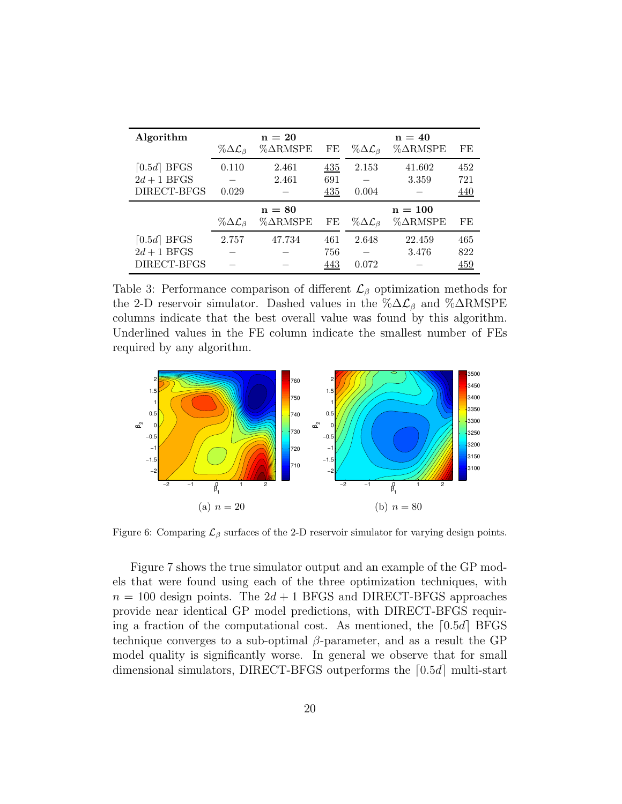| Algorithm     |                                 | $n = 20$           |     |                                 | $n = 40$           |            |
|---------------|---------------------------------|--------------------|-----|---------------------------------|--------------------|------------|
|               | % $\Delta{\cal L}_\beta$        | $% \triangleRMSPE$ | FE  | $\%\Delta\mathcal{L}_{\beta}$   | $% \triangleRMSPE$ | FE         |
| $[0.5d]$ BFGS | 0.110                           | 2.461              | 435 | 2.153                           | 41.602             | 452        |
| $2d+1$ BFGS   |                                 | 2.461              | 691 |                                 | 3.359              | 721        |
| DIRECT-BFGS   | 0.029                           |                    | 435 | 0.004                           |                    | 440        |
|               |                                 | $n = 80$           |     |                                 | $n = 100$          |            |
|               | $\% \Delta \mathcal{L}_{\beta}$ | $% \triangleRMSPE$ | FE  | $\% \Delta \mathcal{L}_{\beta}$ | $% \triangleRMSPE$ | FE         |
| $[0.5d]$ BFGS | 2.757                           | 47.734             | 461 | 2.648                           | 22.459             | 465        |
| $2d+1$ BFGS   |                                 |                    | 756 |                                 | 3.476              | 822        |
| DIRECT-BFGS   |                                 |                    | 443 | 0.072                           |                    | <u>459</u> |

Table 3: Performance comparison of different  $\mathcal{L}_{\beta}$  optimization methods for the 2-D reservoir simulator. Dashed values in the  $\% \Delta \mathcal{L}_{\beta}$  and  $\% \Delta RMSPE$ columns indicate that the best overall value was found by this algorithm. Underlined values in the FE column indicate the smallest number of FEs required by any algorithm.



Figure 6: Comparing  $\mathcal{L}_{\beta}$  surfaces of the 2-D reservoir simulator for varying design points.

Figure 7 shows the true simulator output and an example of the GP models that were found using each of the three optimization techniques, with  $n = 100$  design points. The  $2d + 1$  BFGS and DIRECT-BFGS approaches provide near identical GP model predictions, with DIRECT-BFGS requiring a fraction of the computational cost. As mentioned, the  $[0.5d]$  BFGS technique converges to a sub-optimal  $\beta$ -parameter, and as a result the GP model quality is significantly worse. In general we observe that for small dimensional simulators, DIRECT-BFGS outperforms the  $[0.5d]$  multi-start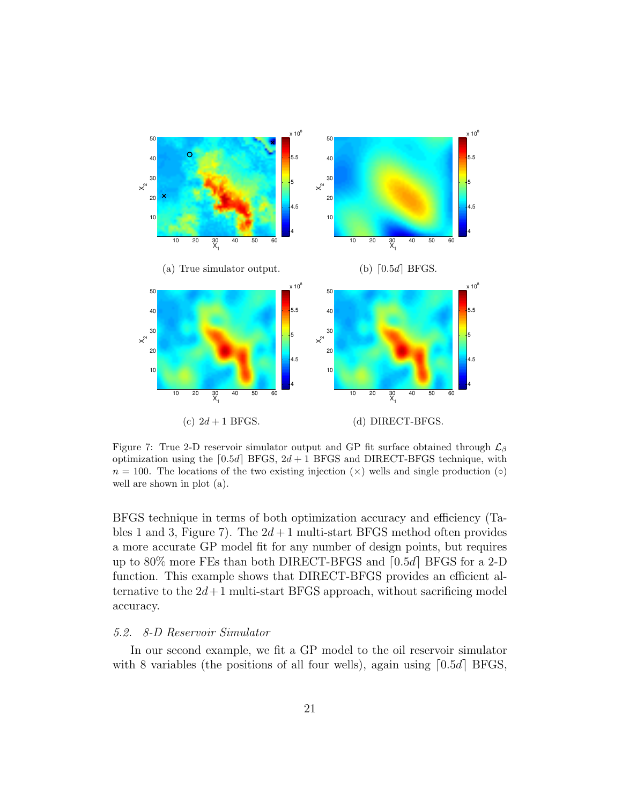

Figure 7: True 2-D reservoir simulator output and GP fit surface obtained through  $\mathcal{L}_{\beta}$ optimization using the  $[0.5d]$  BFGS,  $2d + 1$  BFGS and DIRECT-BFGS technique, with  $n = 100$ . The locations of the two existing injection  $(\times)$  wells and single production  $(\circ)$ well are shown in plot (a).

BFGS technique in terms of both optimization accuracy and efficiency (Tables 1 and 3, Figure 7). The  $2d+1$  multi-start BFGS method often provides a more accurate GP model fit for any number of design points, but requires up to  $80\%$  more FEs than both DIRECT-BFGS and  $[0.5d]$  BFGS for a 2-D function. This example shows that DIRECT-BFGS provides an efficient alternative to the  $2d+1$  multi-start BFGS approach, without sacrificing model accuracy.

# 5.2. 8-D Reservoir Simulator

In our second example, we fit a GP model to the oil reservoir simulator with 8 variables (the positions of all four wells), again using  $[0.5d]$  BFGS,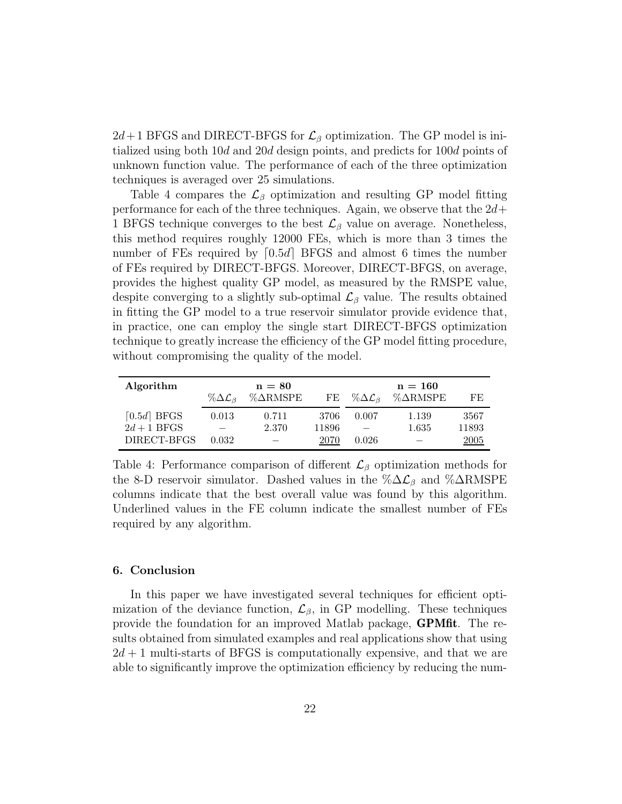$2d+1$  BFGS and DIRECT-BFGS for  $\mathcal{L}_{\beta}$  optimization. The GP model is initialized using both 10d and 20d design points, and predicts for 100d points of unknown function value. The performance of each of the three optimization techniques is averaged over 25 simulations.

Table 4 compares the  $\mathcal{L}_{\beta}$  optimization and resulting GP model fitting performance for each of the three techniques. Again, we observe that the  $2d+$ 1 BFGS technique converges to the best  $\mathcal{L}_{\beta}$  value on average. Nonetheless, this method requires roughly 12000 FEs, which is more than 3 times the number of FEs required by  $[0.5d]$  BFGS and almost 6 times the number of FEs required by DIRECT-BFGS. Moreover, DIRECT-BFGS, on average, provides the highest quality GP model, as measured by the RMSPE value, despite converging to a slightly sub-optimal  $\mathcal{L}_{\beta}$  value. The results obtained in fitting the GP model to a true reservoir simulator provide evidence that, in practice, one can employ the single start DIRECT-BFGS optimization technique to greatly increase the efficiency of the GP model fitting procedure, without compromising the quality of the model.

| Algorithm     | $\% \Delta \mathcal{L}_{\beta}$ | $n = 80$<br>$% \triangleRMSPE$ | FE    | % $\Delta\mathcal{L}_{\beta}$ | $n = 160$<br>$% \triangleRMSPE$ | FE.   |
|---------------|---------------------------------|--------------------------------|-------|-------------------------------|---------------------------------|-------|
| $[0.5d]$ BFGS | 0.013                           | 0.711                          | 3706  | 0.007                         | 1.139                           | 3567  |
| $2d+1$ BFGS   |                                 | 2.370                          | 11896 |                               | 1.635                           | 11893 |
| DIRECT-BFGS   | 0.032                           |                                | 2070  | 0.026                         |                                 | 2005  |

Table 4: Performance comparison of different  $\mathcal{L}_{\beta}$  optimization methods for the 8-D reservoir simulator. Dashed values in the  $\% \Delta \mathcal{L}_{\beta}$  and  $\% \Delta RMSPE$ columns indicate that the best overall value was found by this algorithm. Underlined values in the FE column indicate the smallest number of FEs required by any algorithm.

## 6. Conclusion

In this paper we have investigated several techniques for efficient optimization of the deviance function,  $\mathcal{L}_{\beta}$ , in GP modelling. These techniques provide the foundation for an improved Matlab package, GPMfit. The results obtained from simulated examples and real applications show that using  $2d + 1$  multi-starts of BFGS is computationally expensive, and that we are able to significantly improve the optimization efficiency by reducing the num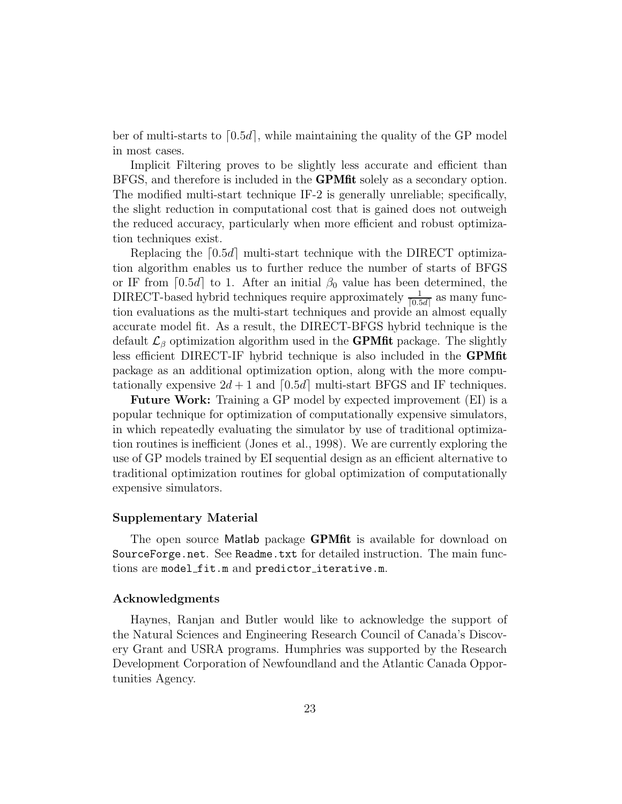ber of multi-starts to  $[0.5d]$ , while maintaining the quality of the GP model in most cases.

Implicit Filtering proves to be slightly less accurate and efficient than BFGS, and therefore is included in the **GPMfit** solely as a secondary option. The modified multi-start technique IF-2 is generally unreliable; specifically, the slight reduction in computational cost that is gained does not outweigh the reduced accuracy, particularly when more efficient and robust optimization techniques exist.

Replacing the  $[0.5d]$  multi-start technique with the DIRECT optimization algorithm enables us to further reduce the number of starts of BFGS or IF from [0.5d] to 1. After an initial  $\beta_0$  value has been determined, the DIRECT-based hybrid techniques require approximately  $\frac{1}{[0.5d]}$  as many function evaluations as the multi-start techniques and provide an almost equally accurate model fit. As a result, the DIRECT-BFGS hybrid technique is the default  $\mathcal{L}_{\beta}$  optimization algorithm used in the **GPMfit** package. The slightly less efficient DIRECT-IF hybrid technique is also included in the GPMfit package as an additional optimization option, along with the more computationally expensive  $2d + 1$  and  $[0.5d]$  multi-start BFGS and IF techniques.

Future Work: Training a GP model by expected improvement (EI) is a popular technique for optimization of computationally expensive simulators, in which repeatedly evaluating the simulator by use of traditional optimization routines is inefficient (Jones et al., 1998). We are currently exploring the use of GP models trained by EI sequential design as an efficient alternative to traditional optimization routines for global optimization of computationally expensive simulators.

# Supplementary Material

The open source Matlab package **GPMfit** is available for download on SourceForge.net. See Readme.txt for detailed instruction. The main functions are model fit.m and predictor\_iterative.m.

#### Acknowledgments

Haynes, Ranjan and Butler would like to acknowledge the support of the Natural Sciences and Engineering Research Council of Canada's Discovery Grant and USRA programs. Humphries was supported by the Research Development Corporation of Newfoundland and the Atlantic Canada Opportunities Agency.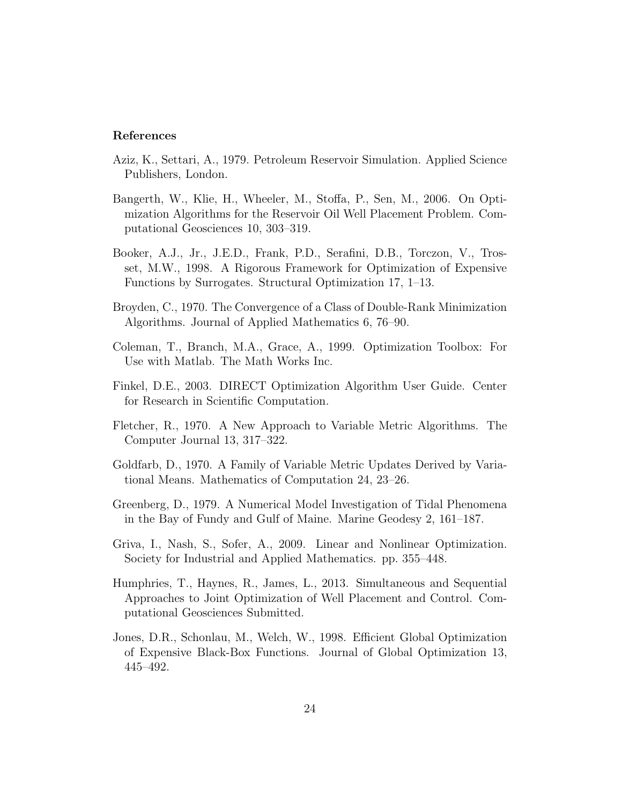## References

- Aziz, K., Settari, A., 1979. Petroleum Reservoir Simulation. Applied Science Publishers, London.
- Bangerth, W., Klie, H., Wheeler, M., Stoffa, P., Sen, M., 2006. On Optimization Algorithms for the Reservoir Oil Well Placement Problem. Computational Geosciences 10, 303–319.
- Booker, A.J., Jr., J.E.D., Frank, P.D., Serafini, D.B., Torczon, V., Trosset, M.W., 1998. A Rigorous Framework for Optimization of Expensive Functions by Surrogates. Structural Optimization 17, 1–13.
- Broyden, C., 1970. The Convergence of a Class of Double-Rank Minimization Algorithms. Journal of Applied Mathematics 6, 76–90.
- Coleman, T., Branch, M.A., Grace, A., 1999. Optimization Toolbox: For Use with Matlab. The Math Works Inc.
- Finkel, D.E., 2003. DIRECT Optimization Algorithm User Guide. Center for Research in Scientific Computation.
- Fletcher, R., 1970. A New Approach to Variable Metric Algorithms. The Computer Journal 13, 317–322.
- Goldfarb, D., 1970. A Family of Variable Metric Updates Derived by Variational Means. Mathematics of Computation 24, 23–26.
- Greenberg, D., 1979. A Numerical Model Investigation of Tidal Phenomena in the Bay of Fundy and Gulf of Maine. Marine Geodesy 2, 161–187.
- Griva, I., Nash, S., Sofer, A., 2009. Linear and Nonlinear Optimization. Society for Industrial and Applied Mathematics. pp. 355–448.
- Humphries, T., Haynes, R., James, L., 2013. Simultaneous and Sequential Approaches to Joint Optimization of Well Placement and Control. Computational Geosciences Submitted.
- Jones, D.R., Schonlau, M., Welch, W., 1998. Efficient Global Optimization of Expensive Black-Box Functions. Journal of Global Optimization 13, 445–492.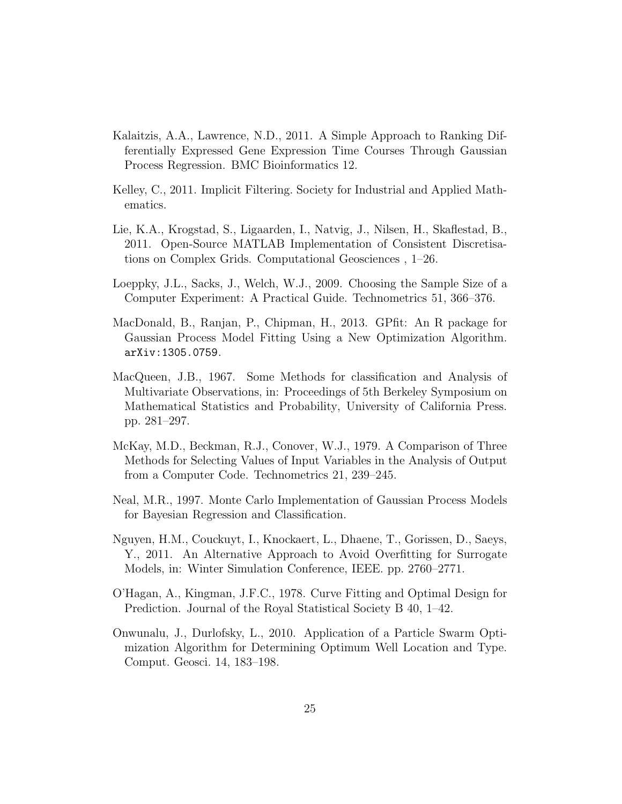- Kalaitzis, A.A., Lawrence, N.D., 2011. A Simple Approach to Ranking Differentially Expressed Gene Expression Time Courses Through Gaussian Process Regression. BMC Bioinformatics 12.
- Kelley, C., 2011. Implicit Filtering. Society for Industrial and Applied Mathematics.
- Lie, K.A., Krogstad, S., Ligaarden, I., Natvig, J., Nilsen, H., Skaflestad, B., 2011. Open-Source MATLAB Implementation of Consistent Discretisations on Complex Grids. Computational Geosciences , 1–26.
- Loeppky, J.L., Sacks, J., Welch, W.J., 2009. Choosing the Sample Size of a Computer Experiment: A Practical Guide. Technometrics 51, 366–376.
- MacDonald, B., Ranjan, P., Chipman, H., 2013. GPfit: An R package for Gaussian Process Model Fitting Using a New Optimization Algorithm. arXiv:1305.0759.
- MacQueen, J.B., 1967. Some Methods for classification and Analysis of Multivariate Observations, in: Proceedings of 5th Berkeley Symposium on Mathematical Statistics and Probability, University of California Press. pp. 281–297.
- McKay, M.D., Beckman, R.J., Conover, W.J., 1979. A Comparison of Three Methods for Selecting Values of Input Variables in the Analysis of Output from a Computer Code. Technometrics 21, 239–245.
- Neal, M.R., 1997. Monte Carlo Implementation of Gaussian Process Models for Bayesian Regression and Classification.
- Nguyen, H.M., Couckuyt, I., Knockaert, L., Dhaene, T., Gorissen, D., Saeys, Y., 2011. An Alternative Approach to Avoid Overfitting for Surrogate Models, in: Winter Simulation Conference, IEEE. pp. 2760–2771.
- O'Hagan, A., Kingman, J.F.C., 1978. Curve Fitting and Optimal Design for Prediction. Journal of the Royal Statistical Society B 40, 1–42.
- Onwunalu, J., Durlofsky, L., 2010. Application of a Particle Swarm Optimization Algorithm for Determining Optimum Well Location and Type. Comput. Geosci. 14, 183–198.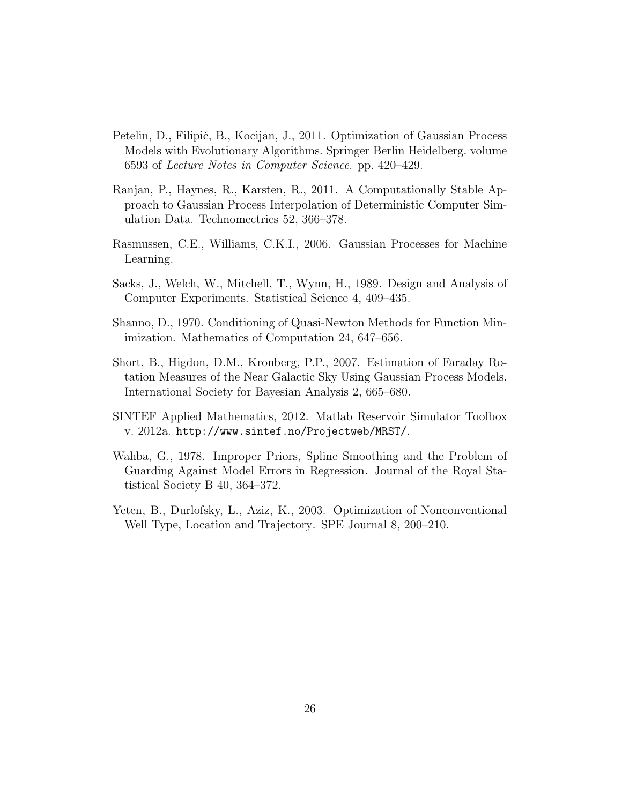- Petelin, D., Filipič, B., Kocijan, J., 2011. Optimization of Gaussian Process Models with Evolutionary Algorithms. Springer Berlin Heidelberg. volume 6593 of Lecture Notes in Computer Science. pp. 420–429.
- Ranjan, P., Haynes, R., Karsten, R., 2011. A Computationally Stable Approach to Gaussian Process Interpolation of Deterministic Computer Simulation Data. Technomectrics 52, 366–378.
- Rasmussen, C.E., Williams, C.K.I., 2006. Gaussian Processes for Machine Learning.
- Sacks, J., Welch, W., Mitchell, T., Wynn, H., 1989. Design and Analysis of Computer Experiments. Statistical Science 4, 409–435.
- Shanno, D., 1970. Conditioning of Quasi-Newton Methods for Function Minimization. Mathematics of Computation 24, 647–656.
- Short, B., Higdon, D.M., Kronberg, P.P., 2007. Estimation of Faraday Rotation Measures of the Near Galactic Sky Using Gaussian Process Models. International Society for Bayesian Analysis 2, 665–680.
- SINTEF Applied Mathematics, 2012. Matlab Reservoir Simulator Toolbox v. 2012a. http://www.sintef.no/Projectweb/MRST/.
- Wahba, G., 1978. Improper Priors, Spline Smoothing and the Problem of Guarding Against Model Errors in Regression. Journal of the Royal Statistical Society B 40, 364–372.
- Yeten, B., Durlofsky, L., Aziz, K., 2003. Optimization of Nonconventional Well Type, Location and Trajectory. SPE Journal 8, 200–210.